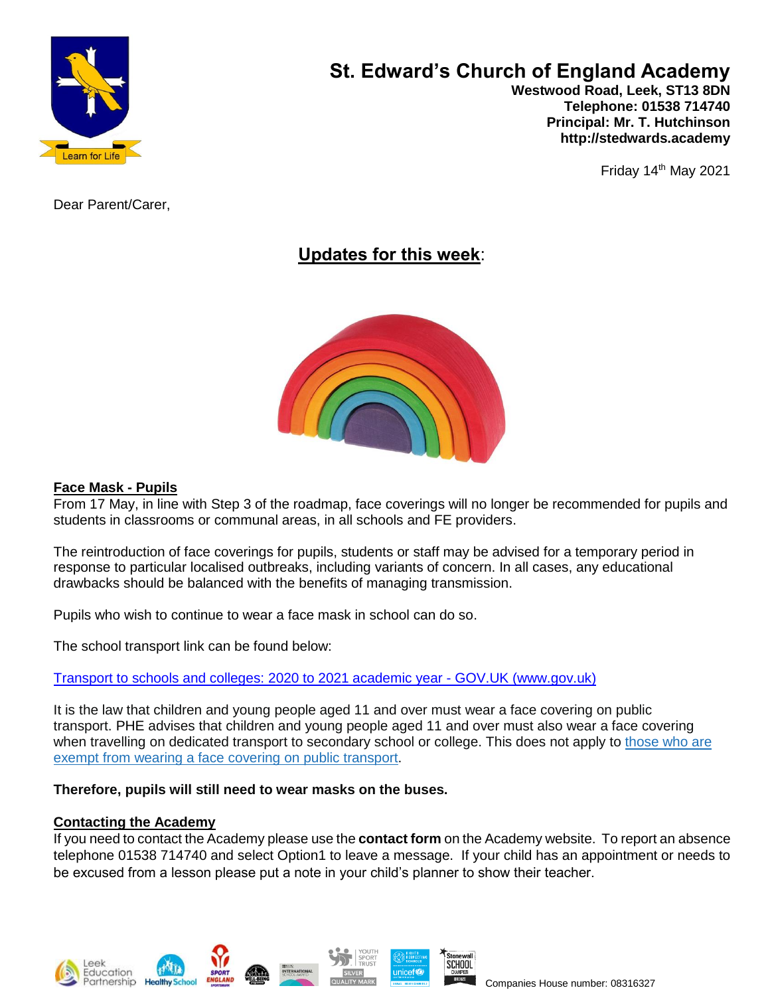

# **St. Edward's Church of England Academy**

 **Westwood Road, Leek, ST13 8DN Telephone: 01538 714740 Principal: Mr. T. Hutchinson http://stedwards.academy**

Friday  $14<sup>th</sup>$  May 2021

Dear Parent/Carer,

# **Updates for this week**:



#### **Face Mask - Pupils**

From 17 May, in line with Step 3 of the roadmap, face coverings will no longer be recommended for pupils and students in classrooms or communal areas, in all schools and FE providers.

The reintroduction of face coverings for pupils, students or staff may be advised for a temporary period in response to particular localised outbreaks, including variants of concern. In all cases, any educational drawbacks should be balanced with the benefits of managing transmission.

Pupils who wish to continue to wear a face mask in school can do so.

The school transport link can be found below:

Transport to schools and colleges: 2020 to 2021 academic year - GOV.UK [\(www.gov.uk\)](https://www.gov.uk/government/publications/transport-to-school-and-other-places-of-education-autumn-term-2020/transport-to-school-and-other-places-of-education-autumn-term-2020)

It is the law that children and young people aged 11 and over must wear a face covering on public transport. PHE advises that children and young people aged 11 and over must also wear a face covering when travelling on dedicated transport to secondary school or college. This does not apply to [those](https://www.gov.uk/guidance/coronavirus-covid-19-safer-travel-guidance-for-passengers#exemptions-face-coverings) who are exempt from wearing a face covering on public [transport.](https://www.gov.uk/guidance/coronavirus-covid-19-safer-travel-guidance-for-passengers#exemptions-face-coverings)

#### **Therefore, pupils will still need to wear masks on the buses.**

#### **Contacting the Academy**

If you need to contact the Academy please use the **contact form** on the Academy website. To report an absence telephone 01538 714740 and select Option1 to leave a message. If your child has an appointment or needs to be excused from a lesson please put a note in your child's planner to show their teacher.

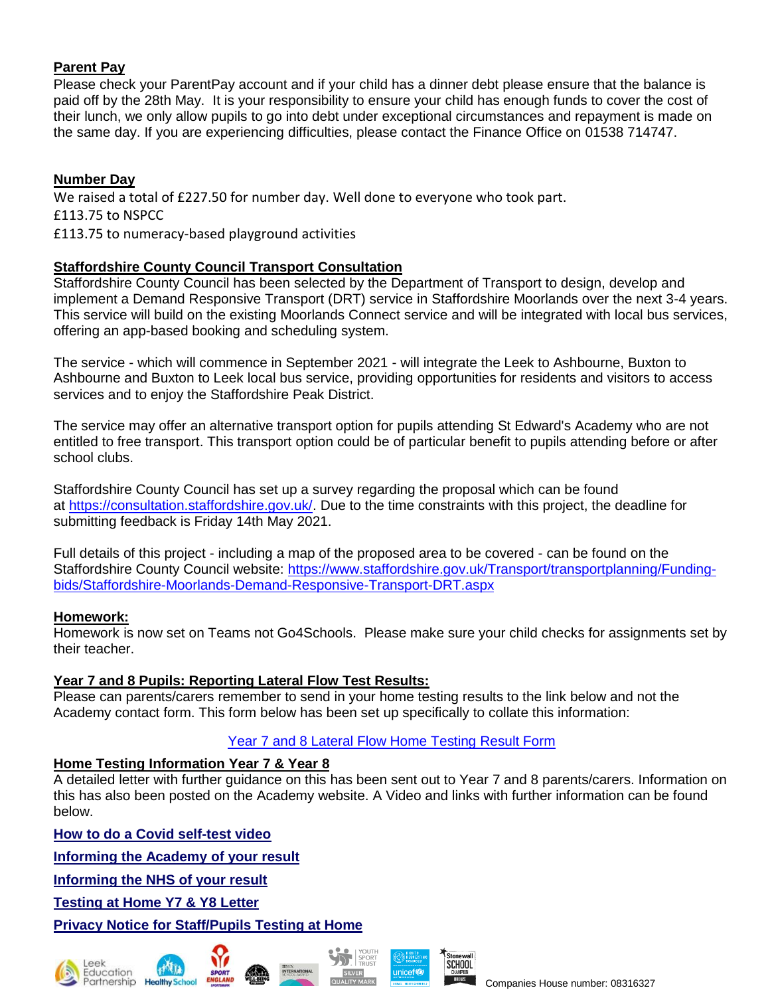# **Parent Pay**

Please check your ParentPay account and if your child has a dinner debt please ensure that the balance is paid off by the 28th May. It is your responsibility to ensure your child has enough funds to cover the cost of their lunch, we only allow pupils to go into debt under exceptional circumstances and repayment is made on the same day. If you are experiencing difficulties, please contact the Finance Office on 01538 714747.

#### **Number Day**

We raised a total of £227.50 for number day. Well done to everyone who took part. £113.75 to NSPCC £113.75 to numeracy-based playground activities

## **Staffordshire County Council Transport Consultation**

Staffordshire County Council has been selected by the Department of Transport to design, develop and implement a Demand Responsive Transport (DRT) service in Staffordshire Moorlands over the next 3-4 years. This service will build on the existing Moorlands Connect service and will be integrated with local bus services, offering an app-based booking and scheduling system.

The service - which will commence in September 2021 - will integrate the Leek to Ashbourne, Buxton to Ashbourne and Buxton to Leek local bus service, providing opportunities for residents and visitors to access services and to enjoy the Staffordshire Peak District.

The service may offer an alternative transport option for pupils attending St Edward's Academy who are not entitled to free transport. This transport option could be of particular benefit to pupils attending before or after school clubs.

Staffordshire County Council has set up a survey regarding the proposal which can be found at [https://consultation.staffordshire.gov.uk/.](https://consultation.staffordshire.gov.uk/) Due to the time constraints with this project, the deadline for submitting feedback is Friday 14th May 2021.

Full details of this project - including a map of the proposed area to be covered - can be found on the Staffordshire County Council website: [https://www.staffordshire.gov.uk/Transport/transportplanning/Funding](https://www.staffordshire.gov.uk/Transport/transportplanning/Funding-bids/Staffordshire-Moorlands-Demand-Responsive-Transport-DRT.aspx)[bids/Staffordshire-Moorlands-Demand-Responsive-Transport-DRT.aspx](https://www.staffordshire.gov.uk/Transport/transportplanning/Funding-bids/Staffordshire-Moorlands-Demand-Responsive-Transport-DRT.aspx)

#### **Homework:**

Homework is now set on Teams not Go4Schools. Please make sure your child checks for assignments set by their teacher.

#### **Year 7 and 8 Pupils: Reporting Lateral Flow Test Results:**

Please can parents/carers remember to send in your home testing results to the link below and not the Academy contact form. This form below has been set up specifically to collate this information:

#### [Year 7 and 8 Lateral Flow Home Testing Result Form](https://forms.office.com/Pages/ResponsePage.aspx?id=1fhjb3KZgUuT_NXvEhdWcKayiLvXvodDpRcCWau7pr1UMk9UNVBUMDE3R01YWVZVV1MwTEtDVzQ5Si4u)

#### **Home Testing Information Year 7 & Year 8**

A detailed letter with further guidance on this has been sent out to Year 7 and 8 parents/carers. Information on this has also been posted on the Academy website. A Video and links with further information can be found below.

**How to do a Covid [self-test](https://www.youtube.com/watch?v=S9XR8RZxKNo&list=PLvaBZskxS7tzQYlVg7lwH5uxAD9UrSzGJ&index=2) video**

**[Informing](https://forms.office.com/Pages/ResponsePage.aspx?id=1fhjb3KZgUuT_NXvEhdWcKayiLvXvodDpRcCWau7pr1UMk9UNVBUMDE3R01YWVZVV1MwTEtDVzQ5Si4u) the Academy of your result**

**[Informing](https://www.gov.uk/report-covid19-result) the NHS of your result**

**[Testing](https://www.stedwards.academy/admin/ckfinder/userfiles/files/Testing%20pupils%20at%20home%20kits%20letter.pdf) at Home Y7 & Y8 Letter**

## **Privacy Notice for [Staff/Pupils](https://www.stedwards.academy/admin/ckfinder/userfiles/files/Privacy%20Notice%20%20for%20Staff%20-%20%20Pupils%20test%20at%20home.pdf) Testing at Home**